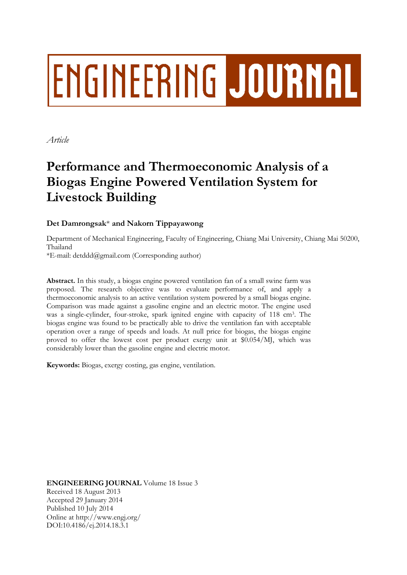# **ENGINEERING JOURNAL**

*Article*

## **Performance and Thermoeconomic Analysis of a Biogas Engine Powered Ventilation System for Livestock Building**

### **Det Damrongsak**\* **and Nakorn Tippayawong**

Department of Mechanical Engineering, Faculty of Engineering, Chiang Mai University, Chiang Mai 50200, Thailand

\*E-mail: detddd@gmail.com (Corresponding author)

**Abstract.** In this study, a biogas engine powered ventilation fan of a small swine farm was proposed. The research objective was to evaluate performance of, and apply a thermoeconomic analysis to an active ventilation system powered by a small biogas engine. Comparison was made against a gasoline engine and an electric motor. The engine used was a single-cylinder, four-stroke, spark ignited engine with capacity of 118 cm<sup>3</sup> . The biogas engine was found to be practically able to drive the ventilation fan with acceptable operation over a range of speeds and loads. At null price for biogas, the biogas engine proved to offer the lowest cost per product exergy unit at \$0.054/MJ, which was considerably lower than the gasoline engine and electric motor.

**Keywords:** Biogas, exergy costing, gas engine, ventilation.

**ENGINEERING JOURNAL** Volume 18 Issue 3 Received 18 August 2013 Accepted 29 January 2014 Published 10 July 2014 Online at http://www.engj.org/ DOI:10.4186/ej.2014.18.3.1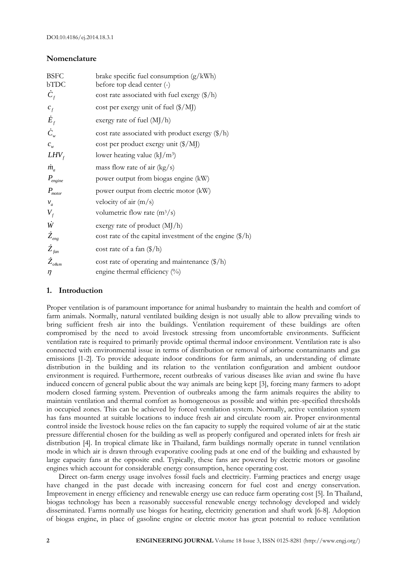#### **Nomenclature**

| <b>BSFC</b><br>bTDC            | brake specific fuel consumption $(g/kWh)$<br>before top dead center (-) |
|--------------------------------|-------------------------------------------------------------------------|
| $\overline{C}_f$               | cost rate associated with fuel exergy $(\frac{1}{2}h)$                  |
| $c_f$                          | cost per exergy unit of fuel $(\frac{5}{M})$                            |
| $\dot{E}_f$                    | exergy rate of fuel $(MJ/h)$                                            |
| $\dot{C}_w$                    | cost rate associated with product exergy $(\frac{1}{2}h)$               |
| $c_{w}$                        | $\cos t$ per product exergy unit $(\frac{1}{2}$ /MJ)                    |
| LHV <sub>f</sub>               | lower heating value $(kJ/m3)$                                           |
| $\dot{m}_a$                    | mass flow rate of air $(kg/s)$                                          |
| $P_{engine}$                   | power output from biogas engine (kW)                                    |
| $P_{\scriptscriptstyle motor}$ | power output from electric motor (kW)                                   |
| $v_a$                          | velocity of air $(m/s)$                                                 |
| $V_{f}$                        | volumetric flow rate $(m^3/s)$                                          |
| W                              | exergy rate of product $(MJ/h)$                                         |
| $\dot{Z}_{\textit{eng}}$       | cost rate of the capital investment of the engine (\$/h)                |
| $\dot{Z}_{\textit{fan}}$       | cost rate of a fan $(\frac{1}{2})$ h)                                   |
| $\dot{Z}_{\alpha\&m}$          | cost rate of operating and maintenance $(\frac{4}{h})$                  |
| η                              | engine thermal efficiency $(\%)$                                        |

#### **1. Introduction**

Proper ventilation is of paramount importance for animal husbandry to maintain the health and comfort of farm animals. Normally, natural ventilated building design is not usually able to allow prevailing winds to bring sufficient fresh air into the buildings. Ventilation requirement of these buildings are often compromised by the need to avoid livestock stressing from uncomfortable environments. Sufficient ventilation rate is required to primarily provide optimal thermal indoor environment. Ventilation rate is also connected with environmental issue in terms of distribution or removal of airborne contaminants and gas emissions [1-2]. To provide adequate indoor conditions for farm animals, an understanding of climate distribution in the building and its relation to the ventilation configuration and ambient outdoor environment is required. Furthermore, recent outbreaks of various diseases like avian and swine flu have induced concern of general public about the way animals are being kept [3], forcing many farmers to adopt modern closed farming system. Prevention of outbreaks among the farm animals requires the ability to maintain ventilation and thermal comfort as homogeneous as possible and within pre-specified thresholds in occupied zones. This can be achieved by forced ventilation system. Normally, active ventilation system has fans mounted at suitable locations to induce fresh air and circulate room air. Proper environmental control inside the livestock house relies on the fan capacity to supply the required volume of air at the static pressure differential chosen for the building as well as properly configured and operated inlets for fresh air distribution [4]. In tropical climate like in Thailand, farm buildings normally operate in tunnel ventilation mode in which air is drawn through evaporative cooling pads at one end of the building and exhausted by large capacity fans at the opposite end. Typically, these fans are powered by electric motors or gasoline engines which account for considerable energy consumption, hence operating cost.

Direct on-farm energy usage involves fossil fuels and electricity. Farming practices and energy usage have changed in the past decade with increasing concern for fuel cost and energy conservation. Improvement in energy efficiency and renewable energy use can reduce farm operating cost [5]. In Thailand, biogas technology has been a reasonably successful renewable energy technology developed and widely disseminated. Farms normally use biogas for heating, electricity generation and shaft work [6-8]. Adoption of biogas engine, in place of gasoline engine or electric motor has great potential to reduce ventilation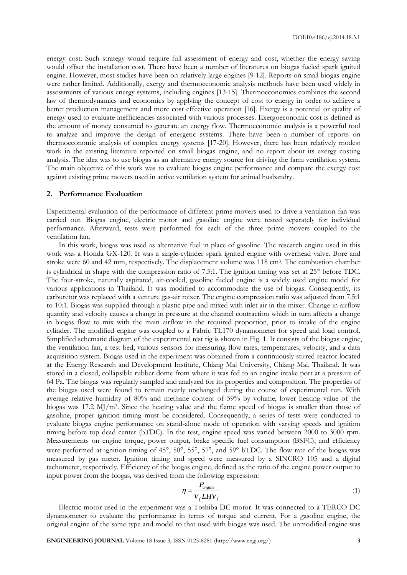energy cost. Such strategy would require full assessment of energy and cost, whether the energy saving would offset the installation cost. There have been a number of literatures on biogas fueled spark ignited engine. However, most studies have been on relatively large engines [9-12]. Reports on small biogas engine were rather limited. Additionally, exergy and thermoeconomic analysis methods have been used widely in assessments of various energy systems, including engines [13-15]. Thermoeconomics combines the second law of thermodynamics and economics by applying the concept of cost to energy in order to achieve a better production management and more cost effective operation [16]. Exergy is a potential or quality of energy used to evaluate inefficiencies associated with various processes. Exergoeconomic cost is defined as the amount of money consumed to generate an energy flow. Thermoeconomic analysis is a powerful tool to analyze and improve the design of energetic systems. There have been a number of reports on thermoeconomic analysis of complex energy systems [17-20]. However, there has been relatively modest work in the existing literature reported on small biogas engine, and no report about its exergy costing analysis. The idea was to use biogas as an alternative energy source for driving the farm ventilation system. The main objective of this work was to evaluate biogas engine performance and compare the exergy cost against existing prime movers used in active ventilation system for animal husbandry.

#### **2. Performance Evaluation**

Experimental evaluation of the performance of different prime movers used to drive a ventilation fan was carried out. Biogas engine, electric motor and gasoline engine were tested separately for individual performance. Afterward, tests were performed for each of the three prime movers coupled to the ventilation fan.

In this work, biogas was used as alternative fuel in place of gasoline. The research engine used in this work was a Honda GX-120. It was a single-cylinder spark ignited engine with overhead valve. Bore and stroke were 60 and 42 mm, respectively. The displacement volume was 118 cm<sup>3</sup>. The combustion chamber is cylindrical in shape with the compression ratio of 7.5:1. The ignition timing was set at 25° before TDC. The four-stroke, naturally aspirated, air-cooled, gasoline fueled engine is a widely used engine model for various applications in Thailand. It was modified to accommodate the use of biogas. Consequently, its carburetor was replaced with a venture gas-air mixer. The engine compression ratio was adjusted from 7.5:1 to 10:1. Biogas was supplied through a plastic pipe and mixed with inlet air in the mixer. Change in airflow quantity and velocity causes a change in pressure at the channel contraction which in turn affects a change in biogas flow to mix with the main airflow in the required proportion, prior to intake of the engine cylinder. The modified engine was coupled to a Fabric TL170 dynamometer for speed and load control. Simplified schematic diagram of the experimental test rig is shown in Fig. 1. It consists of the biogas engine, the ventilation fan, a test bed, various sensors for measuring flow rates, temperatures, velocity, and a data acquisition system. Biogas used in the experiment was obtained from a continuously stirred reactor located at the Energy Research and Development Institute, Chiang Mai University, Chiang Mai, Thailand. It was stored in a closed, collapsible rubber dome from where it was fed to an engine intake port at a pressure of 64 Pa. The biogas was regularly sampled and analyzed for its properties and composition. The properties of the biogas used were found to remain nearly unchanged during the course of experimental run. With average relative humidity of 80% and methane content of 59% by volume, lower heating value of the biogas was 17.2 MJ/m<sup>3</sup>. Since the heating value and the flame speed of biogas is smaller than those of gasoline, proper ignition timing must be considered. Consequently, a series of tests were conducted to evaluate biogas engine performance on stand-alone mode of operation with varying speeds and ignition timing before top dead center (bTDC). In the test, engine speed was varied between 2000 to 3000 rpm. Measurements on engine torque, power output, brake specific fuel consumption (BSFC), and efficiency were performed at ignition timing of 45°, 50°, 55°, 57°, and 59° bTDC. The flow rate of the biogas was measured by gas meter. Ignition timing and speed were measured by a SINCRO 105 and a digital tachometer, respectively. Efficiency of the biogas engine, defined as the ratio of the engine power output to input power from the biogas, was derived from the following expression:

$$
\eta = \frac{P_{engine}}{V_f LHV_f} \tag{1}
$$

Electric motor used in the experiment was a Toshiba DC motor. It was connected to a TERCO DC dynamometer to evaluate the performance in terms of torque and current. For a gasoline engine, the original engine of the same type and model to that used with biogas was used. The unmodified engine was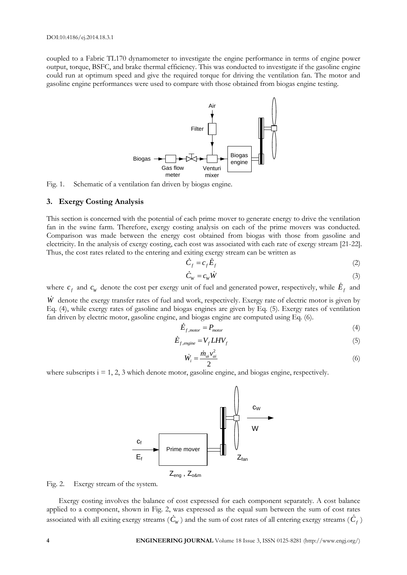coupled to a Fabric TL170 dynamometer to investigate the engine performance in terms of engine power output, torque, BSFC, and brake thermal efficiency. This was conducted to investigate if the gasoline engine could run at optimum speed and give the required torque for driving the ventilation fan. The motor and gasoline engine performances were used to compare with those obtained from biogas engine testing.



Fig. 1. Schematic of a ventilation fan driven by biogas engine.

#### **3. Exergy Costing Analysis**

This section is concerned with the potential of each prime mover to generate energy to drive the ventilation fan in the swine farm. Therefore, exergy costing analysis on each of the prime movers was conducted. Comparison was made between the energy cost obtained from biogas with those from gasoline and electricity. In the analysis of exergy costing, each cost was associated with each rate of exergy stream [21-22]. Thus, the cost rates related to the entering and exiting exergy stream can be written as

$$
\dot{C}_f = c_f \dot{E}_f \tag{2}
$$

$$
\dot{C}_W = c_W \dot{W} \tag{3}
$$

where  $c_f$  and  $c_w$  denote the cost per exergy unit of fuel and generated power, respectively, while  $E_f$  and

W denote the exergy transfer rates of fuel and work, respectively. Exergy rate of electric motor is given by Eq. (4), while exergy rates of gasoline and biogas engines are given by Eq. (5). Exergy rates of ventilation fan driven by electric motor, gasoline engine, and biogas engine are computed using Eq. (6).

$$
\dot{E}_{f,motor} = P_{motor} \tag{4}
$$

$$
\dot{E}_{f, engine} = V_f LHV_f \tag{5}
$$

$$
\dot{W}_i = \frac{\dot{m}_{ai}v_{ai}^2}{2} \tag{6}
$$

where subscripts  $i = 1, 2, 3$  which denote motor, gasoline engine, and biogas engine, respectively.



Fig. 2. Exergy stream of the system.

Exergy costing involves the balance of cost expressed for each component separately. A cost balance applied to a component, shown in Fig. 2, was expressed as the equal sum between the sum of cost rates associated with all exiting exergy streams ( $\dot{C}_W$ ) and the sum of cost rates of all entering exergy streams ( $C_f$ )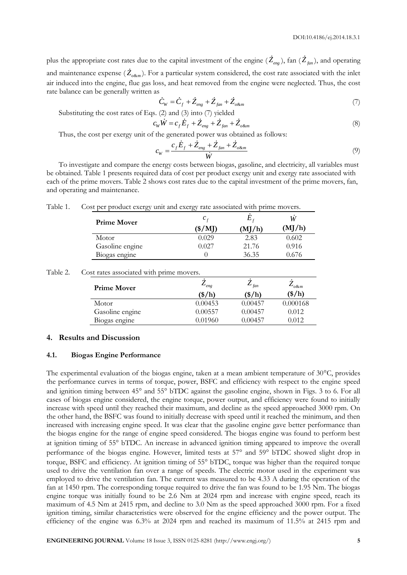plus the appropriate cost rates due to the capital investment of the engine ( *Z eng* ), fan ( *Z fan* ), and operating and maintenance expense  $(\dot{Z}_{\rho\&m})$ . For a particular system considered, the cost rate associated with the inlet air induced into the engine, flue gas loss, and heat removed from the engine were neglected. Thus, the cost rate balance can be generally written as

$$
\dot{C}_W = \dot{C}_f + \dot{Z}_{eng} + \dot{Z}_{fan} + \dot{Z}_{o\&m}
$$
\n(7)

Substituting the cost rates of Eqs. (2) and (3) into (7) yielded<br>  $c_w \dot{W} = c_f \dot{E}_f + \dot{Z}_{eng} + \dot{Z}_{fan} + \dot{Z}_{ok}$ 

$$
c_{\rm w}\dot{W} = c_{\rm f}\dot{E}_{\rm f} + \dot{Z}_{\rm eng} + \dot{Z}_{\rm fan} + \dot{Z}_{\rm o\&m} \tag{8}
$$

Thus, the cost per exergy unit of the generated power was obtained as follows:<br> $c_f \dot{E}_f + \dot{Z}_{eng} + \dot{Z}_{fan} + \dot{Z}_{o\&m}$ 

$$
c_{w} = \frac{c_{f}\dot{E}_{f} + \dot{Z}_{eng} + \dot{Z}_{fan} + \dot{Z}_{o\&m}}{\dot{W}}\tag{9}
$$

To investigate and compare the energy costs between biogas, gasoline, and electricity, all variables must be obtained. Table 1 presents required data of cost per product exergy unit and exergy rate associated with each of the prime movers. Table 2 shows cost rates due to the capital investment of the prime movers, fan, and operating and maintenance.

| Table 1. |  | Cost per product exergy unit and exergy rate associated with prime movers. |  |
|----------|--|----------------------------------------------------------------------------|--|
|          |  |                                                                            |  |

| <b>Prime Mover</b> | c <sub>f</sub><br>(\$/MI) | (MJ/h) | W<br>(MJ/h) |  |
|--------------------|---------------------------|--------|-------------|--|
| Motor              | 0.029                     | 2.83   | 0.602       |  |
| Gasoline engine    | 0.027                     | 21.76  | 0.916       |  |
| Biogas engine      |                           | 36.35  | 0.676       |  |

Table 2. Cost rates associated with prime movers.

| <b>Prime Mover</b> | 'eng<br>(\$/h) | $-$ fan<br>(\$/h) | $u_{o\&m}$<br>$(\frac{\pi}{h})$ |
|--------------------|----------------|-------------------|---------------------------------|
| Motor              | 0.00453        | 0.00457           | 0.000168                        |
| Gasoline engine    | 0.00557        | 0.00457           | 0.012                           |
| Biogas engine      | 0.01960        | 0.00457           | 0.012                           |

#### **4. Results and Discussion**

#### **4.1. Biogas Engine Performance**

The experimental evaluation of the biogas engine, taken at a mean ambient temperature of 30°C, provides the performance curves in terms of torque, power, BSFC and efficiency with respect to the engine speed and ignition timing between 45° and 55° bTDC against the gasoline engine, shown in Figs. 3 to 6. For all cases of biogas engine considered, the engine torque, power output, and efficiency were found to initially increase with speed until they reached their maximum, and decline as the speed approached 3000 rpm. On the other hand, the BSFC was found to initially decrease with speed until it reached the minimum, and then increased with increasing engine speed. It was clear that the gasoline engine gave better performance than the biogas engine for the range of engine speed considered. The biogas engine was found to perform best at ignition timing of 55° bTDC. An increase in advanced ignition timing appeared to improve the overall performance of the biogas engine. However, limited tests at 57° and 59° bTDC showed slight drop in torque, BSFC and efficiency. At ignition timing of 55° bTDC, torque was higher than the required torque used to drive the ventilation fan over a range of speeds. The electric motor used in the experiment was employed to drive the ventilation fan. The current was measured to be 4.33 A during the operation of the fan at 1450 rpm. The corresponding torque required to drive the fan was found to be 1.95 Nm. The biogas engine torque was initially found to be 2.6 Nm at 2024 rpm and increase with engine speed, reach its maximum of 4.5 Nm at 2415 rpm, and decline to 3.0 Nm as the speed approached 3000 rpm. For a fixed ignition timing, similar characteristics were observed for the engine efficiency and the power output. The efficiency of the engine was 6.3% at 2024 rpm and reached its maximum of 11.5% at 2415 rpm and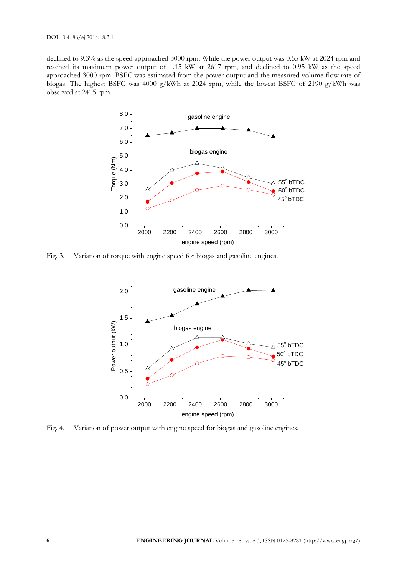declined to 9.3% as the speed approached 3000 rpm. While the power output was 0.55 kW at 2024 rpm and reached its maximum power output of 1.15 kW at 2617 rpm, and declined to 0.95 kW as the speed approached 3000 rpm. BSFC was estimated from the power output and the measured volume flow rate of biogas. The highest BSFC was 4000 g/kWh at 2024 rpm, while the lowest BSFC of 2190 g/kWh was observed at 2415 rpm.



Fig. 3. Variation of torque with engine speed for biogas and gasoline engines.



Fig. 4. Variation of power output with engine speed for biogas and gasoline engines.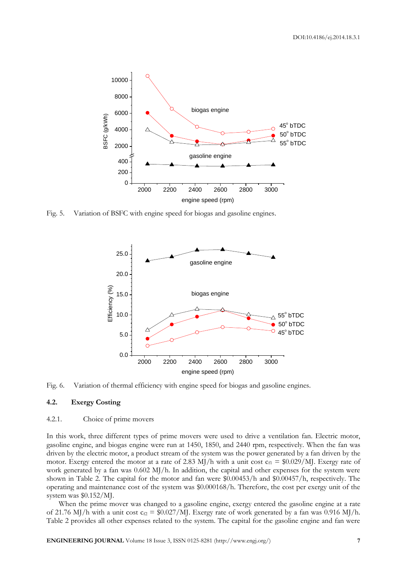

Fig. 5. Variation of BSFC with engine speed for biogas and gasoline engines.



Fig. 6. Variation of thermal efficiency with engine speed for biogas and gasoline engines.

#### **4.2. Exergy Costing**

#### 4.2.1. Choice of prime movers

In this work, three different types of prime movers were used to drive a ventilation fan. Electric motor, gasoline engine, and biogas engine were run at 1450, 1850, and 2440 rpm, respectively. When the fan was driven by the electric motor, a product stream of the system was the power generated by a fan driven by the motor. Exergy entered the motor at a rate of 2.83 MJ/h with a unit cost  $c_{f1} = $0.029/M$ . Exergy rate of work generated by a fan was 0.602 MJ/h. In addition, the capital and other expenses for the system were shown in Table 2. The capital for the motor and fan were \$0.00453/h and \$0.00457/h, respectively. The operating and maintenance cost of the system was \$0.000168/h. Therefore, the cost per exergy unit of the system was \$0.152/MJ.

When the prime mover was changed to a gasoline engine, exergy entered the gasoline engine at a rate of 21.76 MJ/h with a unit cost  $c_{f2} = $0.027/M$ . Exergy rate of work generated by a fan was 0.916 MJ/h. Table 2 provides all other expenses related to the system. The capital for the gasoline engine and fan were

**ENGINEERING JOURNAL** Volume 18 Issue 3, ISSN 0125-8281 (http://www.engj.org/) **7**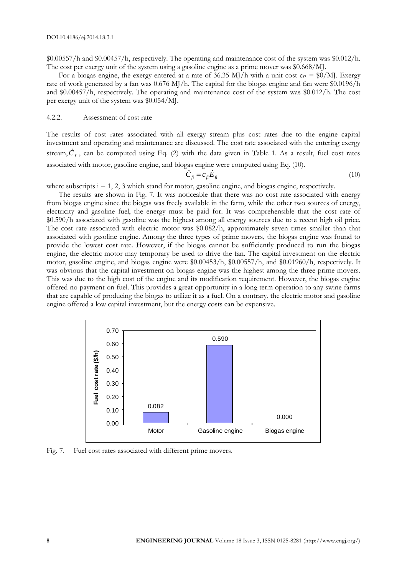\$0.00557/h and \$0.00457/h, respectively. The operating and maintenance cost of the system was \$0.012/h. The cost per exergy unit of the system using a gasoline engine as a prime mover was \$0.668/MJ.

For a biogas engine, the exergy entered at a rate of 36.35 MJ/h with a unit cost  $c_{f3} = \frac{60}{M}$ . Exergy rate of work generated by a fan was 0.676 MJ/h. The capital for the biogas engine and fan were \$0.0196/h and \$0.00457/h, respectively. The operating and maintenance cost of the system was \$0.012/h. The cost per exergy unit of the system was \$0.054/MJ.

#### 4.2.2. Assessment of cost rate

The results of cost rates associated with all exergy stream plus cost rates due to the engine capital investment and operating and maintenance are discussed. The cost rate associated with the entering exergy stream,  $C_f$ , can be computed using Eq. (2) with the data given in Table 1. As a result, fuel cost rates associated with motor, gasoline engine, and biogas engine were computed using Eq. (10).

$$
\dot{C}_{fi} = c_{fi} \dot{E}_{fi} \tag{10}
$$

where subscripts  $i = 1, 2, 3$  which stand for motor, gasoline engine, and biogas engine, respectively.

The results are shown in Fig. 7. It was noticeable that there was no cost rate associated with energy from biogas engine since the biogas was freely available in the farm, while the other two sources of energy, electricity and gasoline fuel, the energy must be paid for. It was comprehensible that the cost rate of \$0.590/h associated with gasoline was the highest among all energy sources due to a recent high oil price. The cost rate associated with electric motor was \$0.082/h, approximately seven times smaller than that associated with gasoline engine. Among the three types of prime movers, the biogas engine was found to provide the lowest cost rate. However, if the biogas cannot be sufficiently produced to run the biogas engine, the electric motor may temporary be used to drive the fan. The capital investment on the electric motor, gasoline engine, and biogas engine were \$0.00453/h, \$0.00557/h, and \$0.01960/h, respectively. It was obvious that the capital investment on biogas engine was the highest among the three prime movers. This was due to the high cost of the engine and its modification requirement. However, the biogas engine offered no payment on fuel. This provides a great opportunity in a long term operation to any swine farms that are capable of producing the biogas to utilize it as a fuel. On a contrary, the electric motor and gasoline engine offered a low capital investment, but the energy costs can be expensive.



Fig. 7. Fuel cost rates associated with different prime movers.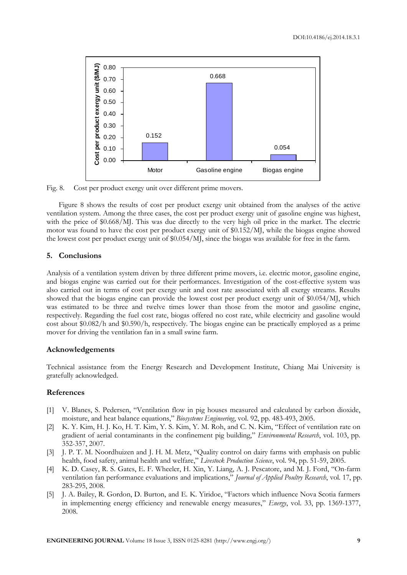

Fig. 8. Cost per product exergy unit over different prime movers.

Figure 8 shows the results of cost per product exergy unit obtained from the analyses of the active ventilation system. Among the three cases, the cost per product exergy unit of gasoline engine was highest, with the price of \$0.668/MJ. This was due directly to the very high oil price in the market. The electric motor was found to have the cost per product exergy unit of \$0.152/MJ, while the biogas engine showed the lowest cost per product exergy unit of \$0.054/MJ, since the biogas was available for free in the farm.

#### **5. Conclusions**

Analysis of a ventilation system driven by three different prime movers, i.e. electric motor, gasoline engine, and biogas engine was carried out for their performances. Investigation of the cost-effective system was also carried out in terms of cost per exergy unit and cost rate associated with all exergy streams. Results showed that the biogas engine can provide the lowest cost per product exergy unit of \$0.054/MJ, which was estimated to be three and twelve times lower than those from the motor and gasoline engine, respectively. Regarding the fuel cost rate, biogas offered no cost rate, while electricity and gasoline would cost about \$0.082/h and \$0.590/h, respectively. The biogas engine can be practically employed as a prime mover for driving the ventilation fan in a small swine farm.

#### **Acknowledgements**

Technical assistance from the Energy Research and Development Institute, Chiang Mai University is gratefully acknowledged.

#### **References**

- [1] V. Blanes, S. Pedersen, "Ventilation flow in pig houses measured and calculated by carbon dioxide, moisture, and heat balance equations," *Biosystems Engineering*, vol. 92, pp. 483-493, 2005.
- [2] K. Y. Kim, H. J. Ko, H. T. Kim, Y. S. Kim, Y. M. Roh, and C. N. Kim, "Effect of ventilation rate on gradient of aerial contaminants in the confinement pig building," *Environmental Research*, vol. 103, pp. 352-357, 2007.
- [3] J. P. T. M. Noordhuizen and J. H. M. Metz, "Quality control on dairy farms with emphasis on public health, food safety, animal health and welfare," *Livestock Production Science*, vol. 94, pp. 51-59, 2005.
- [4] K. D. Casey, R. S. Gates, E. F. Wheeler, H. Xin, Y. Liang, A. J. Pescatore, and M. J. Ford, "On-farm ventilation fan performance evaluations and implications," *Journal of Applied Poultry Research*, vol. 17, pp. 283-295, 2008.
- [5] J. A. Bailey, R. Gordon, D. Burton, and E. K. Yiridoe, "Factors which influence Nova Scotia farmers in implementing energy efficiency and renewable energy measures," *Energy*, vol. 33, pp. 1369-1377, 2008.